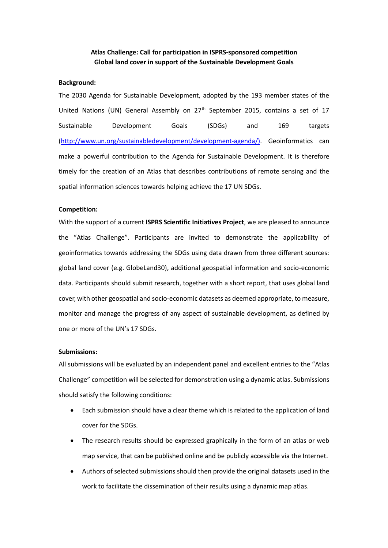# **Atlas Challenge: Call for participation in ISPRS-sponsored competition Global land cover in support of the Sustainable Development Goals**

# **Background:**

The 2030 Agenda for Sustainable Development, adopted by the 193 member states of the United Nations (UN) General Assembly on 27<sup>th</sup> September 2015, contains a set of 17 Sustainable Development Goals (SDGs) and 169 targets [\(http://www.un.org/sustainabledevelopment/development-agenda/\)](http://www.un.org/sustainabledevelopment/development-agenda/). Geoinformatics can make a powerful contribution to the Agenda for Sustainable Development. It is therefore timely for the creation of an Atlas that describes contributions of remote sensing and the spatial information sciences towards helping achieve the 17 UN SDGs.

## **Competition:**

With the support of a current **ISPRS Scientific Initiatives Project**, we are pleased to announce the "Atlas Challenge". Participants are invited to demonstrate the applicability of geoinformatics towards addressing the SDGs using data drawn from three different sources: global land cover (e.g. GlobeLand30), additional geospatial information and socio-economic data. Participants should submit research, together with a short report, that uses global land cover, with other geospatial and socio-economic datasets as deemed appropriate, to measure, monitor and manage the progress of any aspect of sustainable development, as defined by one or more of the UN's 17 SDGs.

## **Submissions:**

All submissions will be evaluated by an independent panel and excellent entries to the "Atlas Challenge" competition will be selected for demonstration using a dynamic atlas. Submissions should satisfy the following conditions:

- Each submission should have a clear theme which is related to the application of land cover for the SDGs.
- The research results should be expressed graphically in the form of an atlas or web map service, that can be published online and be publicly accessible via the Internet.
- Authors of selected submissions should then provide the original datasets used in the work to facilitate the dissemination of their results using a dynamic map atlas.